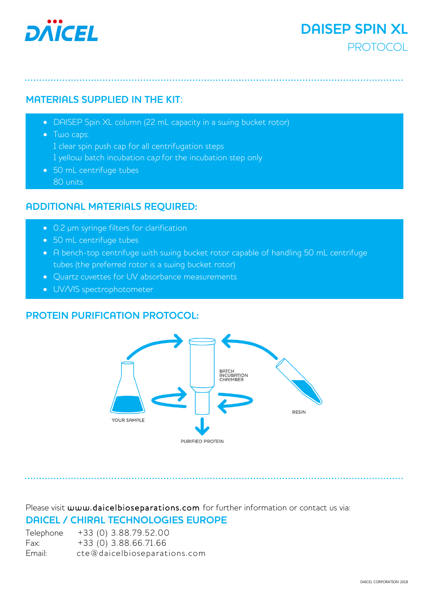

# **DAISEP SPIN XL PROTOCOL**

# **MATERIALS SUPPLIED IN THE KIT**:

- DAISEP Spin XL column (22 mL capacity in a swing bucket rotor)
- Two caps: 1 clear spin push cap for all centrifugation steps 1 yellow batch incubation cap for the incubation step only
- 50 mL centrifuge tubes 80 units

# **ADDITIONAL MATERIALS REQUIRED:**

- 0.2 µm syringe filters for clarification
- 50 mL centrifuge tubes
- A bench-top centrifuge with swing bucket rotor capable of handling 50 mL centrifuge tubes (the preferred rotor is a swing bucket rotor)
- Quartz cuvettes for UV absorbance measurements
- UV/VIS spectrophotometer

# **PROTEIN PURIFICATION PROTOCOL:**



Please visit [www.daicelbioseparations.com](http://www.daicelbioseparations.com/) for further information or contact us via: **DAICEL / CHIRAL TECHNOLOGIES EUROPE** 

Telephone +33 (0) 3.88.79.52.00 Fax: +33 (0) 3.88.66.71.66 Email: [cte@daicelbioseparations.com](mailto:cte@daicelbioseparations.com)